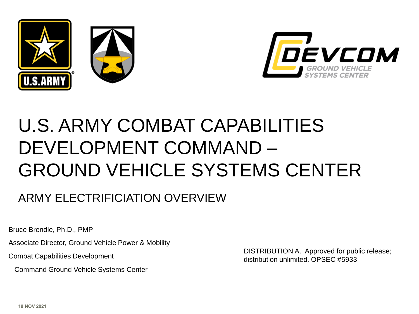



# U.S. ARMY COMBAT CAPABILITIES DEVELOPMENT COMMAND – GROUND VEHICLE SYSTEMS CENTER

#### ARMY ELECTRIFICIATION OVERVIEW

Bruce Brendle, Ph.D., PMP

Associate Director, Ground Vehicle Power & Mobility

Combat Capabilities Development

Command Ground Vehicle Systems Center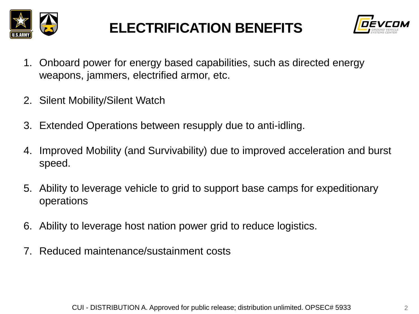

### **ELECTRIFICATION BENEFITS**



- 1. Onboard power for energy based capabilities, such as directed energy weapons, jammers, electrified armor, etc.
- 2. Silent Mobility/Silent Watch
- 3. Extended Operations between resupply due to anti-idling.
- 4. Improved Mobility (and Survivability) due to improved acceleration and burst speed.
- 5. Ability to leverage vehicle to grid to support base camps for expeditionary operations
- 6. Ability to leverage host nation power grid to reduce logistics.
- 7. Reduced maintenance/sustainment costs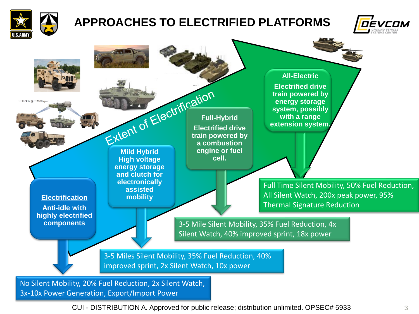

#### **APPROACHES TO ELECTRIFIED PLATFORMS**





CUI - DISTRIBUTION A. Approved for public release; distribution unlimited. OPSEC# 5933 3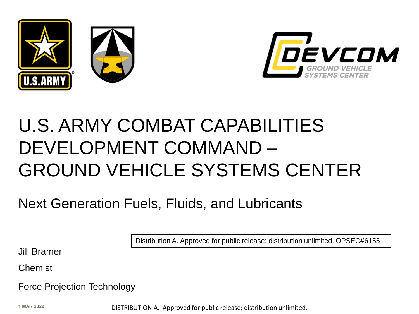



# U.S. ARMY COMBAT CAPABILITIES DEVELOPMENT COMMAND – GROUND VEHICLE SYSTEMS CENTER

Next Generation Fuels, Fluids, and Lubricants

Distribution A. Approved for public release; distribution unlimited. OPSEC#6155

Jill Bramer

Chemist

Force Projection Technology

**1 MAR 2022**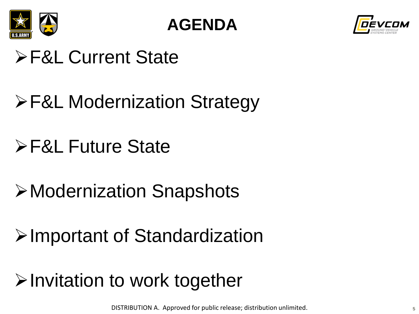

**AGENDA**



# ➢F&L Current State

# ➢F&L Modernization Strategy

- ➢F&L Future State
- ➢Modernization Snapshots
- ➢Important of Standardization
- ➢Invitation to work together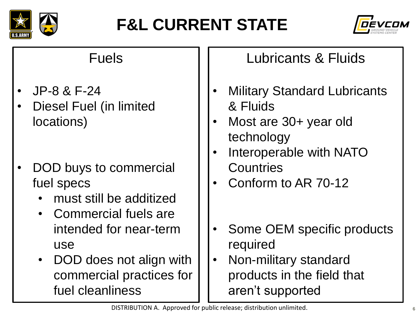

# **F&L CURRENT STATE**



#### Fuels

- JP-8 & F-24
- Diesel Fuel (in limited locations)
- DOD buys to commercial fuel specs
	- must still be additized
	- Commercial fuels are intended for near-term use
	- DOD does not align with commercial practices for fuel cleanliness

#### Lubricants & Fluids

- **Military Standard Lubricants** & Fluids
- Most are 30+ year old technology
- Interoperable with NATO **Countries**
- Conform to AR 70-12
- Some OEM specific products required
- Non-military standard products in the field that aren't supported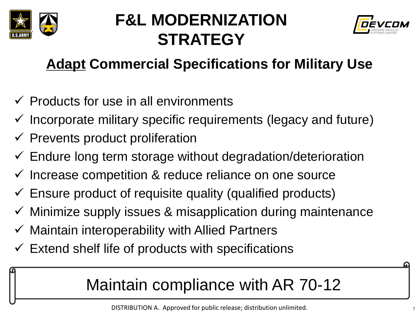

### **F&L MODERNIZATION STRATEGY**



### **Adapt Commercial Specifications for Military Use**

- $\checkmark$  Products for use in all environments
- $\checkmark$  Incorporate military specific requirements (legacy and future)
- $\checkmark$  Prevents product proliferation
- $\checkmark$  Endure long term storage without degradation/deterioration
- $\checkmark$  Increase competition & reduce reliance on one source
- $\checkmark$  Ensure product of requisite quality (qualified products)
- $\checkmark$  Minimize supply issues & misapplication during maintenance
- $\checkmark$  Maintain interoperability with Allied Partners
- $\checkmark$  Extend shelf life of products with specifications

## Maintain compliance with AR 70-12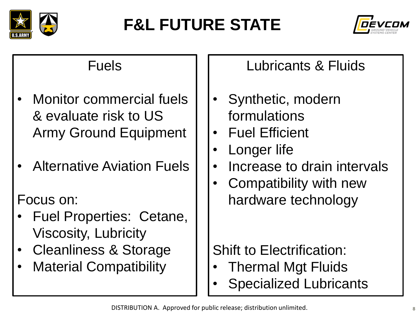

# **F&L FUTURE STATE**



#### Fuels

- Monitor commercial fuels & evaluate risk to US Army Ground Equipment
- Alternative Aviation Fuels

#### Focus on:

- Fuel Properties: Cetane, Viscosity, Lubricity
- Cleanliness & Storage
- Material Compatibility

Lubricants & Fluids

- Synthetic, modern formulations
- Fuel Efficient
- Longer life
- Increase to drain intervals
- Compatibility with new hardware technology

Shift to Electrification:

- Thermal Mgt Fluids
- **Specialized Lubricants**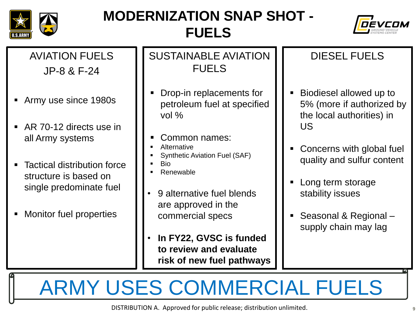

### **MODERNIZATION SNAP SHOT - FUELS**



AVIATION FUELS JP-8 & F-24

- Army use since 1980s
- AR 70-12 directs use in all Army systems
- **Tactical distribution force** structure is based on single predominate fuel
- **E** Monitor fuel properties

SUSTAINABLE AVIATION FUELS

- Drop-in replacements for petroleum fuel at specified vol %
- Common names:
- **Alternative**
- Synthetic Aviation Fuel (SAF)
- **Bio**
- **Renewable**
- 9 alternative fuel blends are approved in the commercial specs
- **In FY22, GVSC is funded to review and evaluate risk of new fuel pathways**

#### DIESEL FUELS

- Biodiesel allowed up to 5% (more if authorized by the local authorities) in US
- Concerns with global fuel quality and sulfur content
- Long term storage stability issues
- Seasonal & Regional supply chain may lag

ARMY USES COMMERCIAL FUELS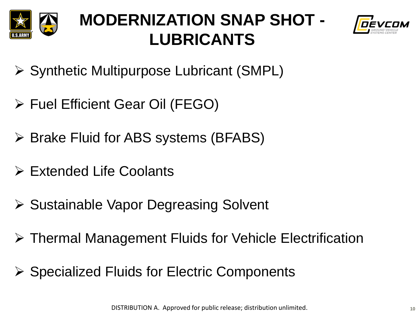

### **MODERNIZATION SNAP SHOT - LUBRICANTS**



- ➢ Synthetic Multipurpose Lubricant (SMPL)
- ➢ Fuel Efficient Gear Oil (FEGO)
- ➢ Brake Fluid for ABS systems (BFABS)
- ➢ Extended Life Coolants
- ➢ Sustainable Vapor Degreasing Solvent
- ➢ Thermal Management Fluids for Vehicle Electrification
- ➢ Specialized Fluids for Electric Components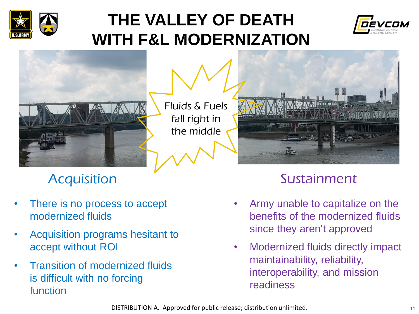

### **THE VALLEY OF DEATH WITH F&L MODERNIZATION**





Fluids & Fuels fall right in the middle



- There is no process to accept modernized fluids
- Acquisition programs hesitant to accept without ROI
- Transition of modernized fluids is difficult with no forcing function

### Acquisition Sustainment

- Army unable to capitalize on the benefits of the modernized fluids since they aren't approved
- Modernized fluids directly impact maintainability, reliability, interoperability, and mission readiness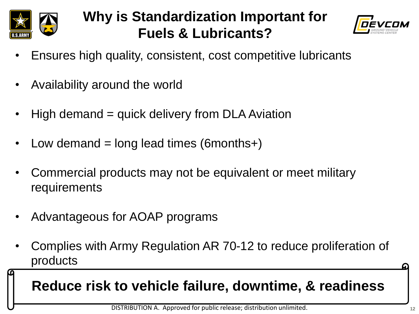

### **Why is Standardization Important for Fuels & Lubricants?**



- Ensures high quality, consistent, cost competitive lubricants
- Availability around the world
- High demand = quick delivery from DLA Aviation
- Low demand  $=$  long lead times (6 months +)
- Commercial products may not be equivalent or meet military requirements
- Advantageous for AOAP programs
- Complies with Army Regulation AR 70-12 to reduce proliferation of products

**Reduce risk to vehicle failure, downtime, & readiness**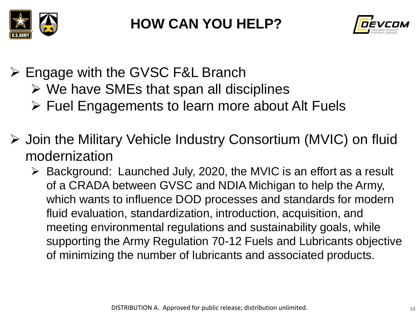



- ➢ Engage with the GVSC F&L Branch
	- $\triangleright$  We have SMEs that span all disciplines
	- ➢ Fuel Engagements to learn more about Alt Fuels
- ➢ Join the Military Vehicle Industry Consortium (MVIC) on fluid modernization
	- ➢ Background: Launched July, 2020, the MVIC is an effort as a result of a CRADA between GVSC and NDIA Michigan to help the Army, which wants to influence DOD processes and standards for modern fluid evaluation, standardization, introduction, acquisition, and meeting environmental regulations and sustainability goals, while supporting the Army Regulation 70-12 Fuels and Lubricants objective of minimizing the number of lubricants and associated products.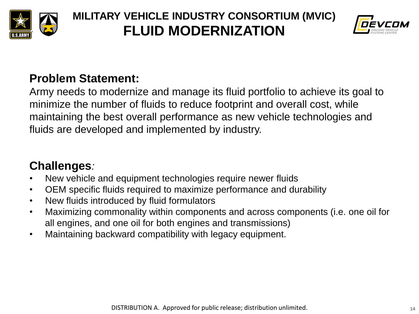

#### **MILITARY VEHICLE INDUSTRY CONSORTIUM (MVIC) FLUID MODERNIZATION**



#### **Problem Statement:**

Army needs to modernize and manage its fluid portfolio to achieve its goal to minimize the number of fluids to reduce footprint and overall cost, while maintaining the best overall performance as new vehicle technologies and fluids are developed and implemented by industry.

#### **Challenges***:*

- New vehicle and equipment technologies require newer fluids
- OEM specific fluids required to maximize performance and durability
- New fluids introduced by fluid formulators
- Maximizing commonality within components and across components (i.e. one oil for all engines, and one oil for both engines and transmissions)
- Maintaining backward compatibility with legacy equipment.